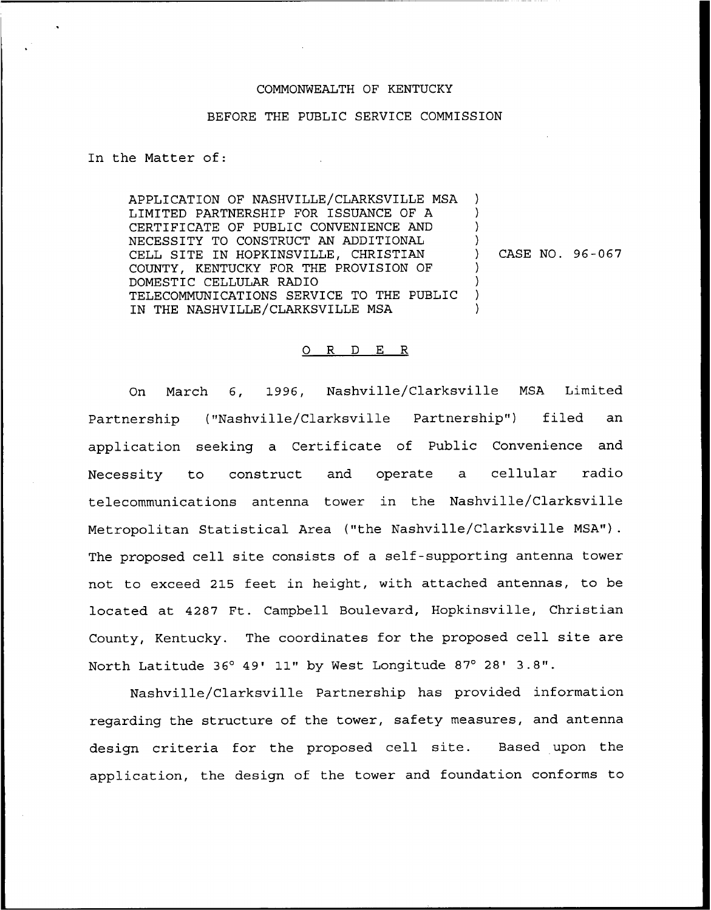## COMMONWEALTH OF KENTUCKY

## BEFORE THE PUBLIC SERVICE COMMISSION

In the Matter of:

APPLICATION OF NASHVILLE/CLARKSVILLE MSA LIMITED PARTNERSHIP FOR ISSUANCE OF A CERTIFICATE OF PUBLIC CONVENIENCE AND NECESSITY TO CONSTRUCT AN ADDITIONAL CELL SITE IN HOPKINSVILLE, CHRISTIAN COUNTY, KENTUCKY FOR THE PROVISION OF DOMESTIC CELLULAR RADIO TELECOMMUNICATIONS SERVICE TO THE PUBLIC IN THE NASHVILLE/CLARKSVILLE MSA ) ) ) ) ) CASE NO. 96-067 ) ) ) )

## 0 R <sup>D</sup> E R

On March 6, 1996, Nashville/Clarksville MSA Limited Partnership ("Nashville/Clarksville Partnership") filed an application seeking a Certificate of Public Convenience and Necessity to construct and operate a cellular radio telecommunications antenna tower in the Nashville/Clarksville Metropolitan Statistical Area ("the Nashville/Clarksville MSA"). The proposed cell site consists of a self-supporting antenna tower not to exceed 215 feet in height, with attached antennas, to be located at 4287 Ft. Campbell Boulevard, Hopkinsville, Christian County, Kentucky. The coordinates for the proposed cell site are North Latitude 36° 49' 11" by West Longitude 87° 28' 3.8".

Nashville/Clarksville Partnership has provided information regarding the structure of the tower, safety measures, and antenna design criteria for the proposed cell site. Based upon the application, the design of the tower and foundation conforms to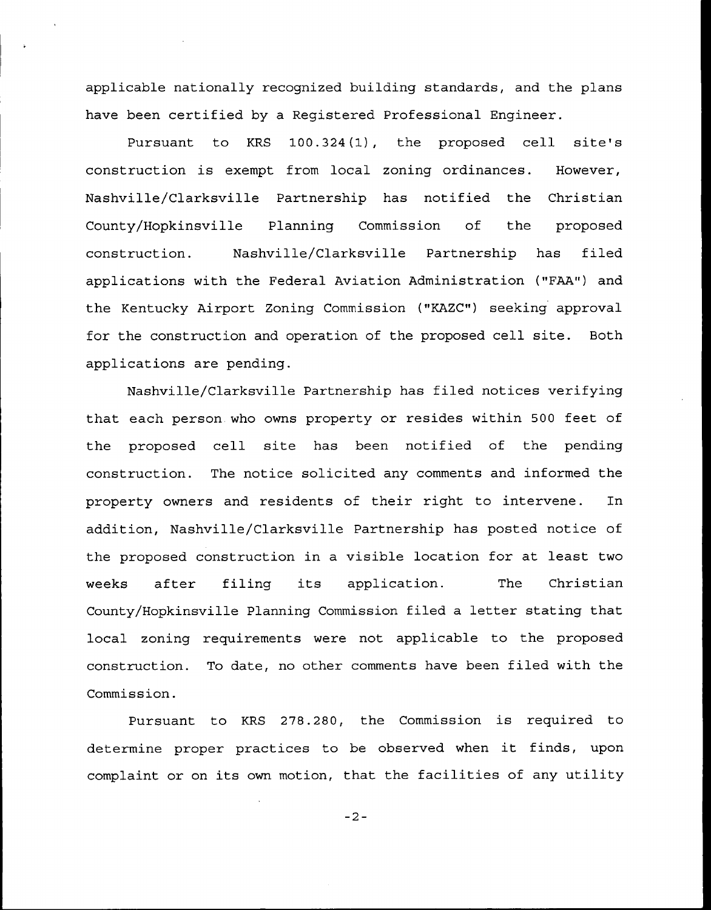applicable nationally recognized building standards, and the plans have been certified by a Registered Professional Engineer.

Pursuant to KRS 100.324(1), the proposed cell site's construction is exempt from local zoning ordinances. However, Nashville/Clarksville Partnership has notified the Christian County/Hopkinsville Planning Commission of the proposed construction. Nashville/Clarksville Partnership has filed applications with the Federal Aviation Administration ("FAA") and the Kentucky Airport Zoning Commission ("KAZC") seeking approval for the construction and operation of the proposed cell site. Both applications are pending.

Nashville/Clarksville Partnership has filed notices verifying that each person who owns property or resides within 500 feet of the proposed cell site has been notified of the pending construction. The notice solicited any comments and informed the property owners and residents of their right to intervene. In addition, Nashville/Clarksville Partnership has posted notice of the proposed construction in a visible location for at least two weeks after filing its application. The Christian County/Hopkinsville Planning Commission filed a letter stating that local zoning requirements were not applicable to the proposed construction. To date, no other comments have been filed with the Commission.

Pursuant to KRS 278.280, the Commission is required to determine proper practices to be observed when it finds, upon complaint or on its own motion, that the facilities of any utility

 $-2-$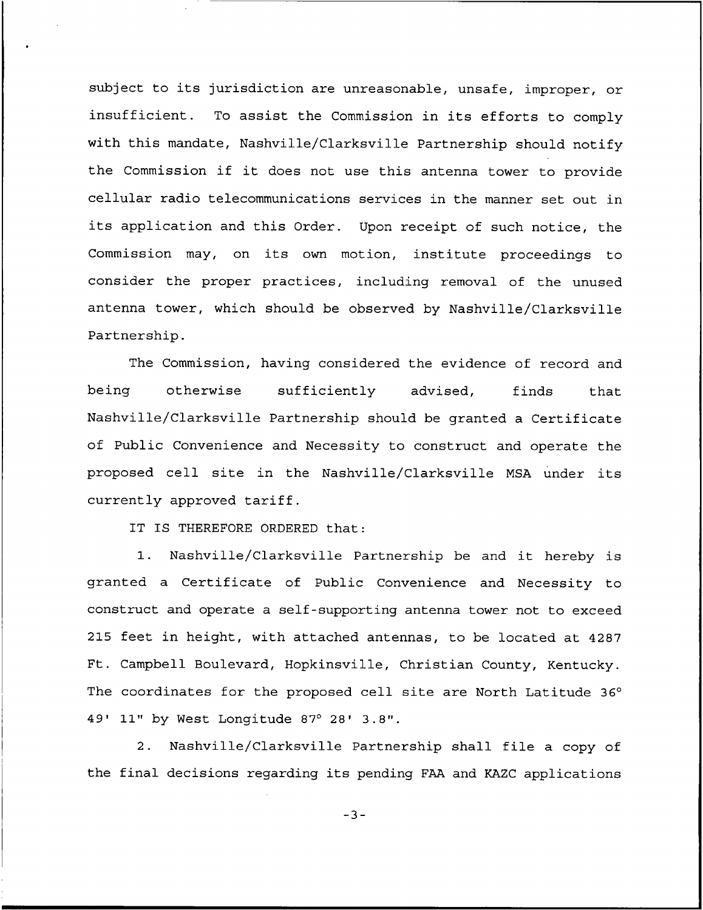subject to its jurisdiction are unreasonable, unsafe, improper, or insufficient. To assist the Commission in its efforts to comply with this mandate, Nashville/Clarksville Partnership should notify the Commission if it does not use this antenna tower to provide cellular radio telecommunications services in the manner set out in its application and this Order. Upon receipt of such notice, the Commission may, on its own motion, institute proceedings to consider the proper practices, including removal of the unused antenna tower, which should be observed by Nashville/Clarksville Partnership.

The Commission, having considered the evidence of record and being otherwise sufficiently advised, finds that Nashville/Clarksville Partnership should be granted a Certificate of Public Convenience and Necessity to construct and operate the proposed cell site in the Nashville/Clarksville MSA under its currently approved tariff.

IT IS THEREFORE ORDERED that:

1. Nashville/Clarksville Partnership be and it hereby is granted a Certificate of Public Convenience and Necessity to construct and operate a self-supporting antenna tower not to exceed 215 feet in height, with attached antennas, to be located at 4287 Ft. Campbell Boulevard, Hopkinsville, Christian County, Kentucky. The coordinates for the proposed cell site are North Latitude 36° 49' 11" by West Longitude 87° 28' 3.8".

2. Nashville/Clarksville Partnership shall file a copy of the final decisions regarding its pending FAA and KAZC applications

 $-3-$